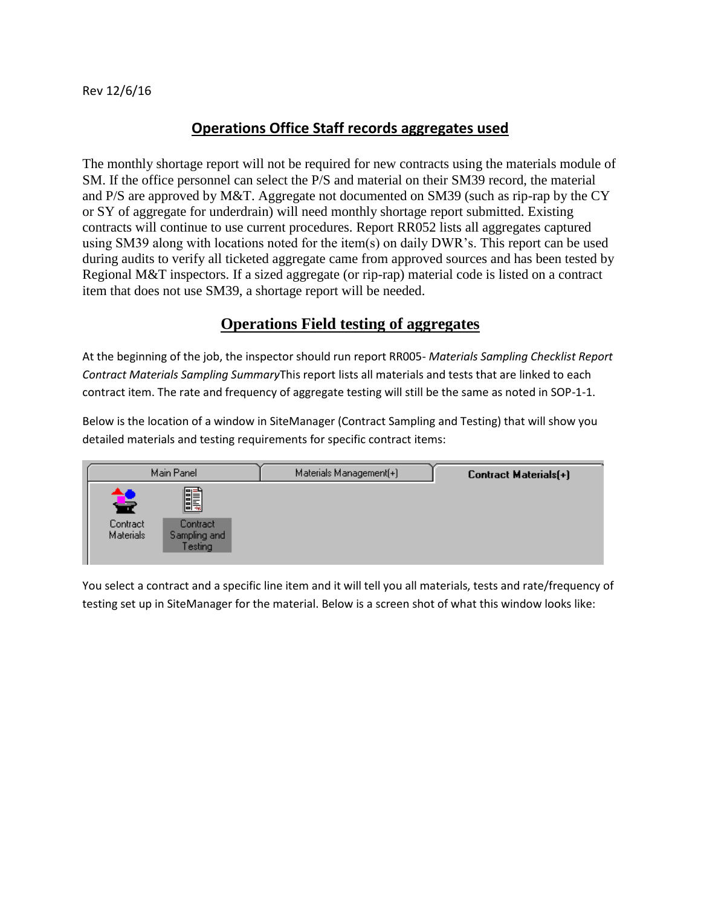## Rev 12/6/16

## **Operations Office Staff records aggregates used**

The monthly shortage report will not be required for new contracts using the materials module of SM. If the office personnel can select the P/S and material on their SM39 record, the material and P/S are approved by M&T. Aggregate not documented on SM39 (such as rip-rap by the CY or SY of aggregate for underdrain) will need monthly shortage report submitted. Existing contracts will continue to use current procedures. Report RR052 lists all aggregates captured using SM39 along with locations noted for the item(s) on daily DWR's. This report can be used during audits to verify all ticketed aggregate came from approved sources and has been tested by Regional M&T inspectors. If a sized aggregate (or rip-rap) material code is listed on a contract item that does not use SM39, a shortage report will be needed.

## **Operations Field testing of aggregates**

At the beginning of the job, the inspector should run report RR005- *Materials Sampling Checklist Report Contract Materials Sampling Summary*This report lists all materials and tests that are linked to each contract item. The rate and frequency of aggregate testing will still be the same as noted in SOP-1-1.

Below is the location of a window in SiteManager (Contract Sampling and Testing) that will show you detailed materials and testing requirements for specific contract items:

| Main Panel                        |                                                   | Materials Management(+) | <b>Contract Materials(+)</b> |
|-----------------------------------|---------------------------------------------------|-------------------------|------------------------------|
| 萼<br>Contract<br><b>Materials</b> | <b>III</b><br>Contract<br>Sampling and<br>Festing |                         |                              |

You select a contract and a specific line item and it will tell you all materials, tests and rate/frequency of testing set up in SiteManager for the material. Below is a screen shot of what this window looks like: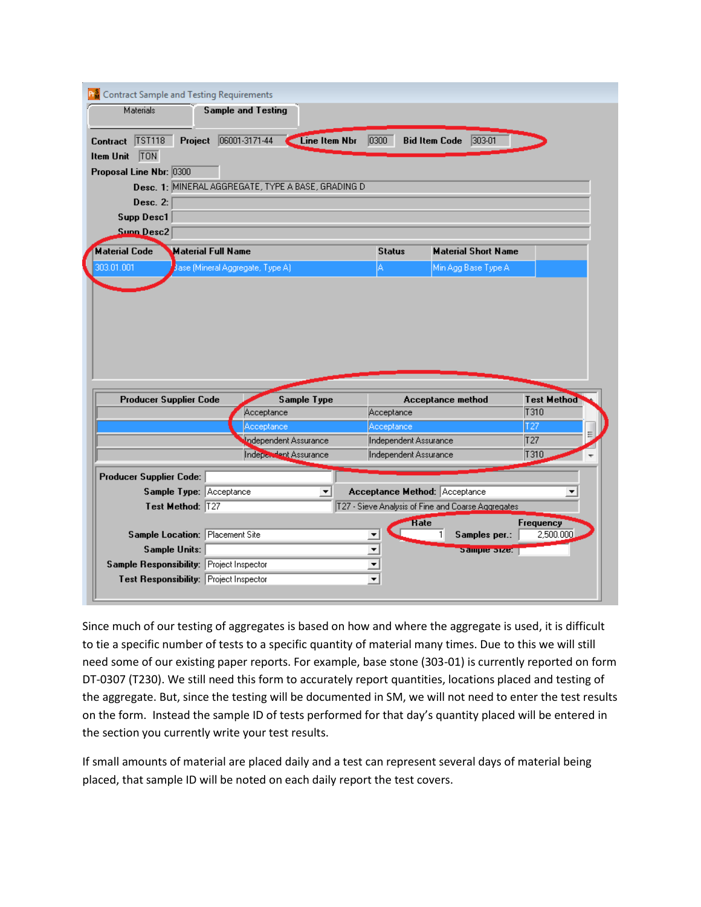| <b>Materials</b>                                  | <b>Sample and Testing</b>                          |                               |                                                    |                    |
|---------------------------------------------------|----------------------------------------------------|-------------------------------|----------------------------------------------------|--------------------|
| Contract TST118<br><b>TON</b><br><b>Item Unit</b> | 06001-3171-44<br>Line Item Nbr<br>Project          | 0300                          | Bid Item Code 303-01                               |                    |
| Proposal Line Nbr: 0300                           |                                                    |                               |                                                    |                    |
|                                                   | Desc. 1: MINERAL AGGREGATE, TYPE A BASE, GRADING D |                               |                                                    |                    |
| Desc. $2:$                                        |                                                    |                               |                                                    |                    |
| Supp Desc1                                        |                                                    |                               |                                                    |                    |
| <b>Sunn Desc2</b>                                 |                                                    |                               |                                                    |                    |
| <b>Material Code</b>                              | <b>Material Full Name</b>                          | <b>Status</b>                 | <b>Material Short Name</b>                         |                    |
| 303.01.001                                        | Base (Mineral Aggregate, Type A)                   | A                             | Min Agg Base Type A                                |                    |
|                                                   |                                                    |                               |                                                    |                    |
|                                                   |                                                    |                               |                                                    |                    |
| <b>Producer Supplier Code</b>                     | <b>Sample Type</b>                                 |                               | Acceptance method                                  | <b>Test Method</b> |
|                                                   | Acceptance<br>Acceptance                           | Acceptance<br>Acceptance      |                                                    | T310<br>T27        |
|                                                   | Independent Assurance                              | Independent Assurance         |                                                    | T27                |
|                                                   | Independent Assurance                              | Independent Assurance         |                                                    | T310               |
|                                                   |                                                    |                               |                                                    |                    |
|                                                   | Sample Type: Acceptance<br>$\vert \cdot \vert$     | Acceptance Method: Acceptance |                                                    | ▼                  |
|                                                   | Test Method: 727                                   |                               | T27 - Sieve Analysis of Fine and Coarse Aggregates |                    |
|                                                   |                                                    |                               | <b>Hate</b>                                        | Frequency          |
| <b>Producer Supplier Code:</b>                    | <b>Sample Location: Placement Site</b>             | $\blacktriangledown$          | 1<br>Samples per.:                                 | 2,500.000          |
| <b>Sample Units:</b>                              | Sample Responsibility: Project Inspector           | $\frac{1}{2}$                 | Sample Size:                                       |                    |

Since much of our testing of aggregates is based on how and where the aggregate is used, it is difficult to tie a specific number of tests to a specific quantity of material many times. Due to this we will still need some of our existing paper reports. For example, base stone (303-01) is currently reported on form DT-0307 (T230). We still need this form to accurately report quantities, locations placed and testing of the aggregate. But, since the testing will be documented in SM, we will not need to enter the test results on the form. Instead the sample ID of tests performed for that day's quantity placed will be entered in the section you currently write your test results.

If small amounts of material are placed daily and a test can represent several days of material being placed, that sample ID will be noted on each daily report the test covers.